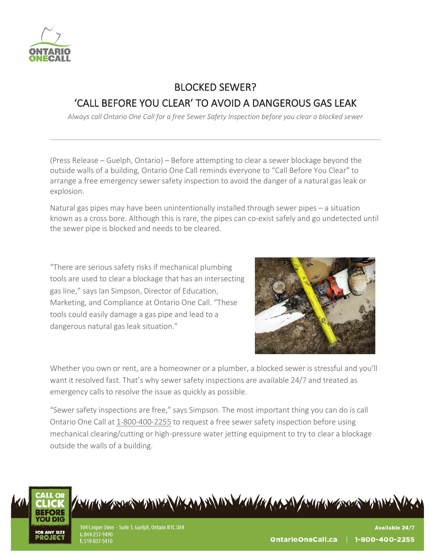

## BLOCKED SEWER? 'CALL BEFORE YOU CLEAR' TO AVOID A DANGEROUS GAS LEAK

*Always call Ontario One Call for a free Sewer Safety Inspection before you clear a blocked sewer*

(Press Release – Guelph, Ontario) – Before attempting to clear a sewer blockage beyond the outside walls of a building, Ontario One Call reminds everyone to "Call Before You Clear" to arrange a free emergency sewer safety inspection to avoid the danger of a natural gas leak or explosion.

Natural gas pipes may have been unintentionally installed through sewer pipes – a situation known as a cross bore. Although this is rare, the pipes can co-exist safely and go undetected until the sewer pipe is blocked and needs to be cleared.

"There are serious safety risks if mechanical plumbing tools are used to clear a blockage that has an intersecting gas line," says Ian Simpson, Director of Education, Marketing, and Compliance at Ontario One Call. "These tools could easily damage a gas pipe and lead to a dangerous natural gas leak situation."



Whether you own or rent, are a homeowner or a plumber, a blocked sewer is stressful and you'll want it resolved fast. That's why sewer safety inspections are available 24/7 and treated as emergency calls to resolve the issue as quickly as possible.

"Sewer safety inspections are free," says Simpson. The most important thing you can do is call Ontario One Call at 1-800-400-2255 to request a free sewer safety inspection before using mechanical clearing/cutting or high-pressure water jetting equipment to try to clear a blockage outside the walls of a building.



A STORY AND A CHANGE AND A COMMANDED AND A CHANGE AND A CHANGE AND A CHANGE AND A CHANGE AND A CHANGE AND A CHANGE AND A CHANGE AND A CHANGE AND A CHANGE AND A CHANGE AND A CHANGE AND A CHANGE AND A CHANGE AND A CHANGE AND

104 Cooper Drive - Suite 1, Guelph, Ontario N1C 0A4 t. 844-257-9490 f. 519-837-5410

**Available 24/7**  $\parallel$  1-800-400-2255 OntarioOneCall.ca